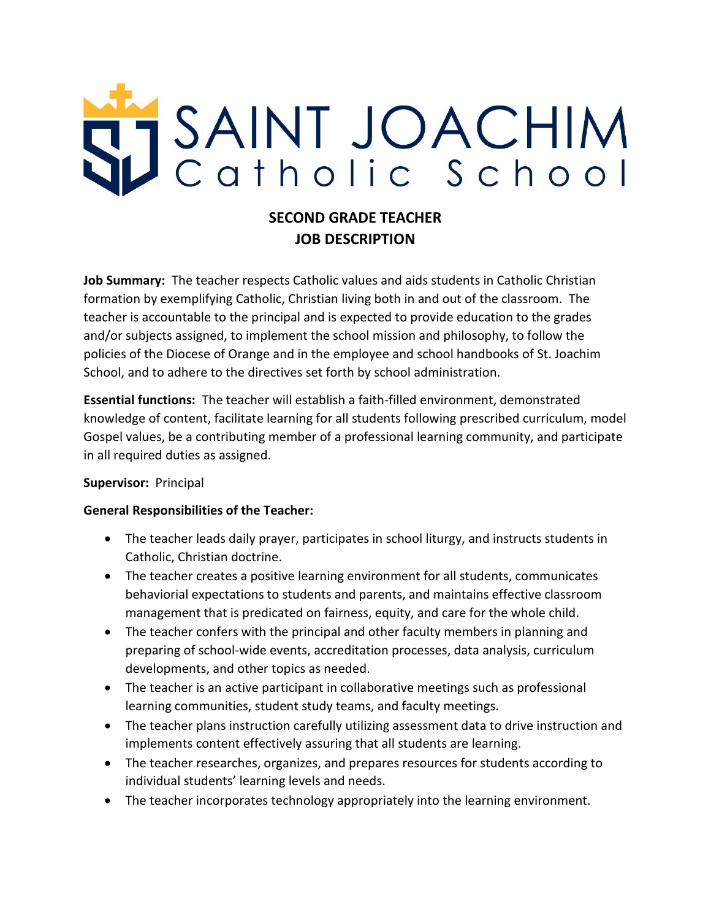

# **SECOND GRADE TEACHER JOB DESCRIPTION**

**Job Summary:** The teacher respects Catholic values and aids students in Catholic Christian formation by exemplifying Catholic, Christian living both in and out of the classroom. The teacher is accountable to the principal and is expected to provide education to the grades and/or subjects assigned, to implement the school mission and philosophy, to follow the policies of the Diocese of Orange and in the employee and school handbooks of St. Joachim School, and to adhere to the directives set forth by school administration.

**Essential functions:** The teacher will establish a faith-filled environment, demonstrated knowledge of content, facilitate learning for all students following prescribed curriculum, model Gospel values, be a contributing member of a professional learning community, and participate in all required duties as assigned.

#### **Supervisor:** Principal

### **General Responsibilities of the Teacher:**

- The teacher leads daily prayer, participates in school liturgy, and instructs students in Catholic, Christian doctrine.
- The teacher creates a positive learning environment for all students, communicates behaviorial expectations to students and parents, and maintains effective classroom management that is predicated on fairness, equity, and care for the whole child.
- The teacher confers with the principal and other faculty members in planning and preparing of school-wide events, accreditation processes, data analysis, curriculum developments, and other topics as needed.
- The teacher is an active participant in collaborative meetings such as professional learning communities, student study teams, and faculty meetings.
- The teacher plans instruction carefully utilizing assessment data to drive instruction and implements content effectively assuring that all students are learning.
- The teacher researches, organizes, and prepares resources for students according to individual students' learning levels and needs.
- The teacher incorporates technology appropriately into the learning environment.